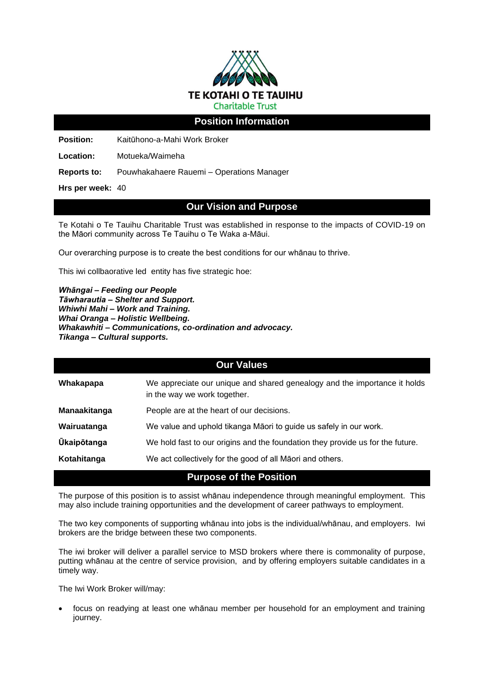

## **Position Information**

**Position:** Kaitūhono-a-Mahi Work Broker

**Location:** Motueka/Waimeha

**Reports to:** Pouwhakahaere Rauemi – Operations Manager

**Hrs per week:** 40

## **Our Vision and Purpose**

Te Kotahi o Te Tauihu Charitable Trust was established in response to the impacts of COVID-19 on the Māori community across Te Tauihu o Te Waka a-Māui.

Our overarching purpose is to create the best conditions for our whānau to thrive.

This iwi collbaorative led entity has five strategic hoe:

*Whāngai – Feeding our People Tāwharautia – Shelter and Support. Whiwhi Mahi – Work and Training. Whai Oranga – Holistic Wellbeing. Whakawhiti – Communications, co-ordination and advocacy. Tikanga – Cultural supports.*

#### **Our Values**

| Whakapapa           | We appreciate our unique and shared genealogy and the importance it holds<br>in the way we work together. |
|---------------------|-----------------------------------------------------------------------------------------------------------|
| <b>Manaakitanga</b> | People are at the heart of our decisions.                                                                 |
| Wairuatanga         | We value and uphold tikanga Māori to guide us safely in our work.                                         |
| <b>Ūkaipōtanga</b>  | We hold fast to our origins and the foundation they provide us for the future.                            |
| Kotahitanga         | We act collectively for the good of all Maori and others.                                                 |

**Purpose of the Position**

The purpose of this position is to assist whānau independence through meaningful employment. This may also include training opportunities and the development of career pathways to employment.

The two key components of supporting whānau into jobs is the individual/whānau, and employers. Iwi brokers are the bridge between these two components.

The iwi broker will deliver a parallel service to MSD brokers where there is commonality of purpose, putting whānau at the centre of service provision, and by offering employers suitable candidates in a timely way.

The Iwi Work Broker will/may:

• focus on readying at least one whānau member per household for an employment and training journey.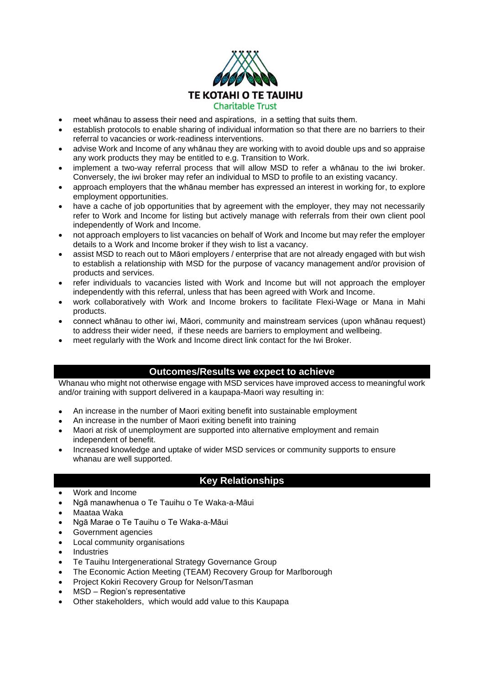

- meet whānau to assess their need and aspirations, in a setting that suits them.
- establish protocols to enable sharing of individual information so that there are no barriers to their referral to vacancies or work-readiness interventions.
- advise Work and Income of any whānau they are working with to avoid double ups and so appraise any work products they may be entitled to e.g. Transition to Work.
- implement a two-way referral process that will allow MSD to refer a whānau to the iwi broker. Conversely, the iwi broker may refer an individual to MSD to profile to an existing vacancy.
- approach employers that the whānau member has expressed an interest in working for, to explore employment opportunities.
- have a cache of job opportunities that by agreement with the employer, they may not necessarily refer to Work and Income for listing but actively manage with referrals from their own client pool independently of Work and Income.
- not approach employers to list vacancies on behalf of Work and Income but may refer the employer details to a Work and Income broker if they wish to list a vacancy.
- assist MSD to reach out to Māori employers / enterprise that are not already engaged with but wish to establish a relationship with MSD for the purpose of vacancy management and/or provision of products and services.
- refer individuals to vacancies listed with Work and Income but will not approach the employer independently with this referral, unless that has been agreed with Work and Income.
- work collaboratively with Work and Income brokers to facilitate Flexi-Wage or Mana in Mahi products.
- connect whānau to other iwi, Māori, community and mainstream services (upon whānau request) to address their wider need, if these needs are barriers to employment and wellbeing.
- meet regularly with the Work and Income direct link contact for the Iwi Broker.

## **Outcomes/Results we expect to achieve**

Whanau who might not otherwise engage with MSD services have improved access to meaningful work and/or training with support delivered in a kaupapa-Maori way resulting in:

- An increase in the number of Maori exiting benefit into sustainable employment
- An increase in the number of Maori exiting benefit into training
- Maori at risk of unemployment are supported into alternative employment and remain independent of benefit.
- Increased knowledge and uptake of wider MSD services or community supports to ensure whanau are well supported.

## **Key Relationships**

- Work and Income
- Ngā manawhenua o Te Tauihu o Te Waka-a-Māui
- Maataa Waka
- Ngā Marae o Te Tauihu o Te Waka-a-Māui
- Government agencies
- Local community organisations
- **Industries**
- Te Tauihu Intergenerational Strategy Governance Group
- The Economic Action Meeting (TEAM) Recovery Group for Marlborough
- Project Kokiri Recovery Group for Nelson/Tasman
- MSD Region's representative
- Other stakeholders, which would add value to this Kaupapa